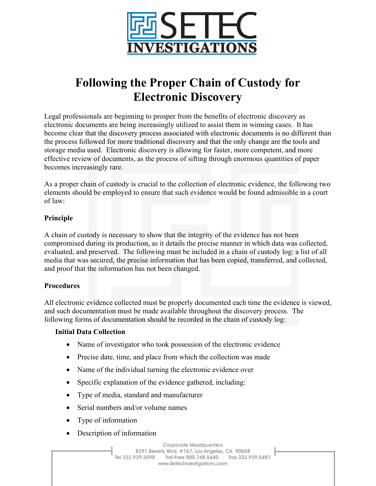

# **Following the Proper Chain of Custody for Electronic Discovery**

Legal professionals are beginning to prosper from the benefits of electronic discovery as electronic documents are being increasingly utilized to assist them in winning cases. It has become clear that the discovery process associated with electronic documents is no different than the process followed for more traditional discovery and that the only change are the tools and storage media used. Electronic discovery is allowing for faster, more competent, and more effective review of documents, as the process of sifting through enormous quantities of paper becomes increasingly rare.

As a proper chain of custody is crucial to the collection of electronic evidence, the following two elements should be employed to ensure that such evidence would be found admissible in a court of law:

## **Principle**

A chain of custody is necessary to show that the integrity of the evidence has not been compromised during its production, as it details the precise manner in which data was collected, evaluated, and preserved. The following must be included in a chain of custody log: a list of all media that was secured, the precise information that has been copied, transferred, and collected, and proof that the information has not been changed.

#### **Procedures**

All electronic evidence collected must be properly documented each time the evidence is viewed, and such documentation must be made available throughout the discovery process. The following forms of documentation should be recorded in the chain of custody log:

#### **Initial Data Collection**

- Name of investigator who took possession of the electronic evidence
- Precise date, time, and place from which the collection was made
- Name of the individual turning the electronic evidence over
- Specific explanation of the evidence gathered, including:
- Type of media, standard and manufacturer
- Serial numbers and/or volume names
- Type of information
- Description of information

Corporate Headquarters 8391 Beverly Blvd. #167, Los Angeles, CA 90048 Tel 323.939.5598 Toll-Free 800.748.5440 Fax 323.939.5481 www.SetecInvestigations.com